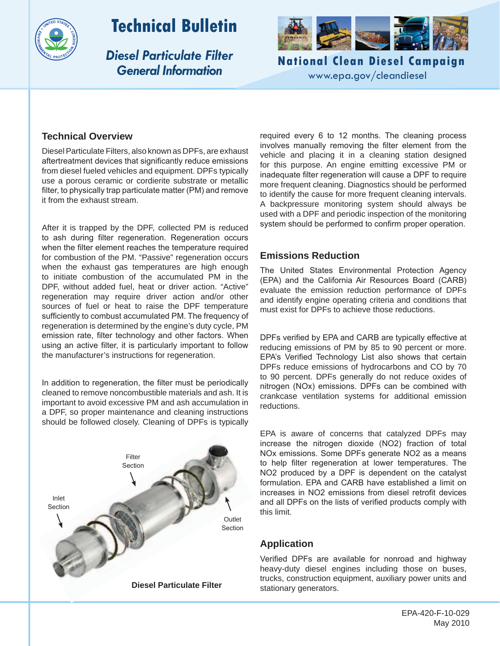

# **Technical Bulletin**

*Diesel Particulate Filter General Information*



**National Clean Diesel Campaign** www.epa.gov/cleandiesel

## **Technical Overview**

Diesel Particulate Filters, also known as DPFs, are exhaust aftertreatment devices that significantly reduce emissions from diesel fueled vehicles and equipment. DPFs typically use a porous ceramic or cordierite substrate or metallic filter, to physically trap particulate matter (PM) and remove it from the exhaust stream.

After it is trapped by the DPF, collected PM is reduced to ash during filter regeneration. Regeneration occurs when the filter element reaches the temperature required for combustion of the PM. "Passive" regeneration occurs when the exhaust gas temperatures are high enough to initiate combustion of the accumulated PM in the DPF, without added fuel, heat or driver action. "Active" regeneration may require driver action and/or other sources of fuel or heat to raise the DPF temperature sufficiently to combust accumulated PM. The frequency of regeneration is determined by the engine's duty cycle, PM emission rate, filter technology and other factors. When using an active filter, it is particularly important to follow the manufacturer's instructions for regeneration.

In addition to regeneration, the filter must be periodically cleaned to remove noncombustible materials and ash. It is important to avoid excessive PM and ash accumulation in a DPF, so proper maintenance and cleaning instructions should be followed closely. Cleaning of DPFs is typically



required every 6 to 12 months. The cleaning process involves manually removing the filter element from the vehicle and placing it in a cleaning station designed for this purpose. An engine emitting excessive PM or inadequate filter regeneration will cause a DPF to require more frequent cleaning. Diagnostics should be performed to identify the cause for more frequent cleaning intervals. A backpressure monitoring system should always be used with a DPF and periodic inspection of the monitoring system should be performed to confirm proper operation.

## **Emissions Reduction**

The United States Environmental Protection Agency (EPA) and the California Air Resources Board (CARB) evaluate the emission reduction performance of DPFs and identify engine operating criteria and conditions that must exist for DPFs to achieve those reductions.

DPFs verified by EPA and CARB are typically effective at reducing emissions of PM by 85 to 90 percent or more. EPA's Verified Technology List also shows that certain DPFs reduce emissions of hydrocarbons and CO by 70 to 90 percent. DPFs generally do not reduce oxides of nitrogen (NOx) emissions. DPFs can be combined with crankcase ventilation systems for additional emission reductions.

EPA is aware of concerns that catalyzed DPFs may increase the nitrogen dioxide (NO2) fraction of total NOx emissions. Some DPFs generate NO2 as a means to help filter regeneration at lower temperatures. The NO2 produced by a DPF is dependent on the catalyst formulation. EPA and CARB have established a limit on increases in NO2 emissions from diesel retrofit devices and all DPFs on the lists of verified products comply with this limit.

# **Application**

Verified DPFs are available for nonroad and highway heavy-duty diesel engines including those on buses, trucks, construction equipment, auxiliary power units and stationary generators.